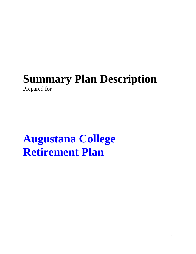## **Summary Plan Description**  Prepared for

# **Augustana College Retirement Plan**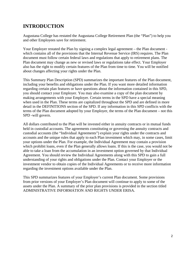## **INTRODUCTION**

Augustana College has restated the Augustana College Retirement Plan (the "Plan") to help you and other Employees save for retirement.

Your Employer restated the Plan by signing a complex legal agreement – the Plan document which contains all of the provisions that the Internal Revenue Service (IRS) requires. The Plan document must follow certain federal laws and regulations that apply to retirement plans. The Plan document may change as new or revised laws or regulations take effect. Your Employer also has the right to modify certain features of the Plan from time to time. You will be notified about changes affecting your rights under the Plan.

This Summary Plan Description (SPD) summarizes the important features of the Plan document, including your benefits and obligations under the Plan. If you want more detailed information regarding certain plan features or have questions about the information contained in this SPD, you should contact your Employer. You may also examine a copy of the plan document by making arrangements with your Employer. Certain terms in the SPD have a special meaning when used in the Plan. These terms are capitalized throughout the SPD and are defined in more detail in the DEFINITIONS section of the SPD. If any information in this SPD conflicts with the terms of the Plan document adopted by your Employer, the terms of the Plan document – not this SPD -will govern.

All dollars contributed to the Plan will be invested either in annuity contracts or in mutual funds held in custodial accounts. The agreements constituting or governing the annuity contracts and custodial accounts (the "Individual Agreements") explain your rights under the contracts and accounts and the unique rules that apply to each Plan investment which may, in some cases, limit your options under the Plan. For example, the Individual Agreement may contain a provision which prohibit loans, even if the Plan generally allows loans. If this is the case, you would not be able to take a loan from the accumulation in an investment option governed by that Individual Agreement. You should review the Individual Agreements along with this SPD to gain a full understanding of your rights and obligations under the Plan. Contact your Employer or the investment vendor to obtain copies of the Individual Agreements or to receive more information regarding the investment options available under the Plan.

This SPD summarizes features of your Employer's current Plan document. Some provisions from prior versions of your Employer's Plan document will continue to apply to some of the assets under the Plan. A summary of the prior plan provisions is provided in the section titled ADMINISTRATIVE INFORMATION AND RIGHTS UNDER ERISA.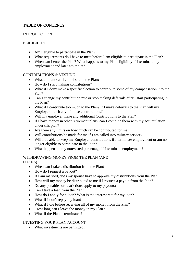#### **TABLE OF CONTENTS**

#### INTRODUCTION

#### ELIGIBILITY

- Am I eligible to participate in the Plan?
- What requirements do I have to meet before I am eligible to participate in the Plan?
- When can I enter the Plan? What happens to my Plan eligibility if I terminate my employment and later am rehired?

#### CONTRIBUTIONS & VESTING

- What amount can I contribute to the Plan?
- How do I start making contributions?
- What if I don't make a specific election to contribute some of my compensation into the Plan?
- Can I change my contribution rate or stop making deferrals after I start participating in the Plan?
- What if I contribute too much to the Plan? If I make deferrals to the Plan will my Employer match any of those contributions?
- Will my employer make any additional Contributions to the Plan?
- If I have money in other retirement plans, can I combine them with my accumulation under this plan?
- Are there any limits on how much can be contributed for me?
- Will contributions be made for me if I am called into military service?
- Will I be able to keep my Employer contributions if I terminate employment or am no longer eligible to participate in the Plan?
- What happens to my nonvested percentage if I terminate employment?

#### WITHDRAWING MONEY FROM THE PLAN (AND

LOANS)

- When can I take a distribution from the Plan?
- How do I request a payout?
- If I am married, does my spouse have to approve my distributions from the Plan?
- How will my money be distributed to me if I request a payout from the Plan?
- Do any penalties or restrictions apply to my payouts?
- Can I take a loan from the Plan?
- How do I apply for a loan? What is the interest rate for my loan?
- What if I don't repay my loan?
- What if I die before receiving all of my money from the Plan?
- How long can I leave the money in my Plan?
- What if the Plan is terminated?

#### INVESTING YOUR PLAN ACCOUNT

• What investments are permitted?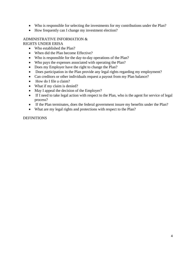- Who is responsible for selecting the investments for my contributions under the Plan?
- How frequently can I change my investment election?

## ADMINISTRATIVE INFORMATION &

RIGHTS UNDER ERISA

- Who established the Plan?
- When did the Plan become Effective?
- Who is responsible for the day-to-day operations of the Plan?
- Who pays the expenses associated with operating the Plan?
- Does my Employer have the right to change the Plan?
- Does participation in the Plan provide any legal rights regarding my employment?
- Can creditors or other individuals request a payout from my Plan balance?
- How do I file a claim?
- What if my claim is denied?
- May I appeal the decision of the Employer?
- If I need to take legal action with respect to the Plan, who is the agent for service of legal process?
- If the Plan terminates, does the federal government insure my benefits under the Plan?
- What are my legal rights and protections with respect to the Plan?

#### **DEFINITIONS**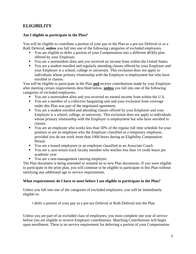### **ELIGIBILITY**

#### **Am I eligible to participate in the Plan?**

You will be eligible to contribute a portion of your pay to the Plan as a pre-tax Deferral or as a Roth Deferral, **unless** you fall into one of the following categories of excluded employees.

- You are eligible to defer a portion of your Compensation into a different 403(b) plan offered by your Employer.
- You are a nonresident alien and you received no income from within the United States.
- You are a student enrolled and regularly attending classes offered by your Employer and your Employer is a school, college or university. This exclusion does not apply to individuals whose primary relationship with the Employer is employment but who have enrolled in classes.

You will be eligible to participate in the Plan **and** receive contributions made by your Employer after meeting certain requirements described below, **unless** you fall into one of the following categories of excluded employees.

- You are a nonresident alien and you received no earned income from within the U.S.
- You are a member of a collective bargaining unit and your exclusion from coverage under this Plan was part of the negotiated agreement.
- You are a student enrolled and attending classes offered by your Employer and your Employer is a school, college, or university. This exclusion does not apply to individuals whose primary relationship with the Employer is employment but who have enrolled in classes.
- You are an employee who works less than 50% of the regular full time schedule for your position or are an employee who the Employer classified as a temporary employee, provided you do not work more than 1000 hours during an Eligibility Computation Period.
- You are a leased employees or an employee classified as an Associate Coach
- You are a ,non-tenure track faculty member who teaches less than 14 credit hours per academic year
- **•** You are a non-management catering employee.

The Plan document is being amended or restated on to new Plan documents. If you were eligible to participate in the prior plan, you will continue to be eligible to participate in this Plan without satisfying any additional age or service requirements.

#### **What requirements do I have to meet before I am eligible to participate in the Plan?**

Unless you fall into one of the categories of excluded employees, you will be immediately eligible to:

• defer a portion of your pay as a pre-tax Deferral or Roth Deferral into the Plan

Unless you are part of an excluded class of employees, you must complete one year of service before you are eligible to receive Employer contributions. Matching Contributions will begin upon enrollment. There is no service requirement for deferring a portion of your Compensation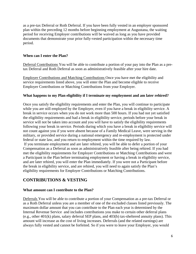as a pre-tax Deferral or Roth Deferral. If you have been fully vested in an employer sponsored plan within the preceding 12 months before beginning employment at Augustana, the waiting period for receiving Employer contributions will be waived as long as you have provided documents that demonstrate your prior fully-vested participation within the necessary time period.

#### **When can I enter the Plan?**

Deferral Contributions You will be able to contribute a portion of your pay into the Plan as a pretax Deferral and Roth Deferral as soon as administratively feasible after your hire date.

Employer Contributions and Matching Contributions Once you have met the eligibility and service requirements listed above, you will enter the Plan and become eligible to receive Employer Contributions or Matching Contributions from your Employer.

#### **What happens to my Plan eligibility if I terminate my employment and am later rehired?**

Once you satisfy the eligibility requirements and enter the Plan, you will continue to participate while you are still employed by the Employer, even if you have a break in eligibility service. A break in service occurs when you do not work more than 500 hours. If you had not yet satisfied the eligibility requirements and had a break in eligibility service, periods before your break in service will not be taken into account and you will have to satisfy the eligibility requirements following your break in service. Periods during which you have a break in eligibility service will not count against you if you were absent because of a Family Medical Leave, were serving in the military, or provided service during a national emergency and re-employment is protected under federal or state law, and you return to employment within the time required by law. If you terminate employment and are later rehired, you will be able to defer a portion of your Compensation as a Deferral as soon as administratively feasible after being rehired. If you had met the eligibility requirements for Employer Contributions or Matching Contributions and were a Participant in the Plan before terminating employment or having a break in eligibility service, and are later rehired, you will enter the Plan immediately. If you were not a Participant before the break in eligibility service, and are rehired, you will need to again satisfy the Plan's eligibility requirements for Employer Contributions or Matching Contributions.

#### **CONTRIBUTIONS & VESTING**

#### **What amount can I contribute to the Plan?**

Deferrals You will be able to contribute a portion of your Compensation as a pre-tax Deferral or as a Roth Deferral unless you are a member of one of the excluded classes listed previously. The maximum dollar amount that you can contribute to the Plan each year is determined by the Internal Revenue Service and includes contributions you make to certain other deferral plans (e.g., other 401(k) plans, salary deferral SEP plans, and 403(b) tax-sheltered annuity plans). This amount will increase as the cost of living increases. Deferrals (and the related earnings) are always fully vested and cannot be forfeited. So if you were to leave your Employer, you would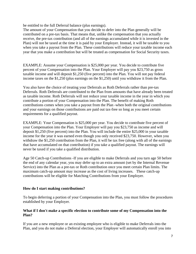be entitled to the full Deferral balance (plus earnings).

The amount of your Compensation that you decide to defer into the Plan generally will be contributed on a pre-tax basis. That means that, unlike the compensation that you actually receive, the pre-tax contribution (and all of the earnings accumulated while it is invested in the Plan) will not be taxed at the time it is paid by your Employer. Instead, it will be taxable to you when you take a payout from the Plan. These contributions will reduce your taxable income each year that you make a contribution but will be treated as compensation for Social Security taxes.

EXAMPLE: Assume your Compensation is \$25,000 per year. You decide to contribute five percent of your Compensation into the Plan. Your Employer will pay you \$23,750 as gross taxable income and will deposit \$1,250 (five percent) into the Plan. You will not pay federal income taxes on the \$1,250 (plus earnings on the \$1,250) until you withdraw it from the Plan.

You also have the choice of treating your Deferrals as Roth Deferrals rather than pre-tax Deferrals. Roth Deferrals are contributed to the Plan from amounts that have already been treated as taxable income. Roth Deferrals will not reduce your taxable income in the year in which you contribute a portion of your Compensation into the Plan. The benefit of making Roth contributions comes when you take a payout from the Plan -when both the original contributions and your earnings on those contributions are paid out tax-free so long as you meet certain requirements for a qualified payout.

EXAMPLE: Your Compensation is \$25,000 per year. You decide to contribute five percent of your Compensation into the Plan. Your Employer will pay you \$23,750 as income and will deposit \$1,250 (five percent) into the Plan. You will include the entire \$25,000 in your taxable income for the year it was earned even though you only received \$23,750. However, when you withdraw the \$1,250 contribution from the Plan, it will be tax free (along with all of the earnings that have accumulated on that contribution) if you take a qualified payout. The earnings will never be taxed if you take a qualified distribution.

Age 50 Catch-up Contributions -If you are eligible to make Deferrals and you turn age 50 before the end of any calendar year, you may defer up to an extra amount (set by the Internal Revenue Service) into the Plan as a pre-tax or Roth contribution once you meet certain Plan limits. The maximum catch-up amount may increase as the cost of living increases. These catch-up contributions will be eligible for Matching Contributions from your Employer.

#### **How do I start making contributions?**

To begin deferring a portion of your Compensation into the Plan, you must follow the procedures established by your Employer.

#### **What if I don't make a specific election to contribute some of my Compensation into the Plan?**

If you are a new employee or an existing employee who is eligible to make Deferrals into the Plan, and you do not make a Deferral election, your Employer will automatically enroll you into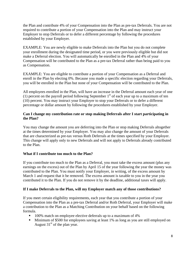the Plan and contribute 4% of your Compensation into the Plan as pre-tax Deferrals. You are not required to contribute a portion of your Compensation into the Plan and may instruct your Employer to stop Deferrals or to defer a different percentage by following the procedures established by your Employer.

EXAMPLE: You are newly eligible to make Deferrals into the Plan but you do not complete your enrollment during the designated time period, or you were previously eligible but did not make a Deferral election. You will automatically be enrolled in the Plan and 4% of your Compensation will be contributed to the Plan as a pre-tax Deferral rather than being paid to you as Compensation.

EXAMPLE: You are eligible to contribute a portion of your Compensation as a Deferral and enroll in the Plan by electing 0%. Because you made a specific election regarding your Deferrals, you will be enrolled in the Plan but none of your Compensation will be contributed to the Plan.

All employees enrolled in the Plan, will have an increase in the Deferral amount each year of one (1) percent on the payroll period following September  $1<sup>st</sup>$  of each year up to a maximum of ten (10) percent. You may instruct your Employer to stop your Deferrals or to defer a different percentage or dollar amount by following the procedures established by your Employer.

#### **Can I change my contribution rate or stop making Deferrals after I start participating in the Plan?**

You may change the amount you are deferring into the Plan or stop making Deferrals altogether at the times determined by your Employer. You may also change the amount of your Deferrals that are characterized as pre-tax versus Roth Deferrals at the times specified by your Employer. This change will apply only to new Deferrals and will not apply to Deferrals already contributed to the Plan.

#### **What if I contribute too much to the Plan?**

If you contribute too much to the Plan as a Deferral, you must take the excess amount (plus any earnings on the excess) out of the Plan by April 15 of the year following the year the money was contributed to the Plan. You must notify your Employer, in writing, of the excess amount by March 1 and request that it be removed. The excess amount is taxable to you in the year you contributed it to the Plan. If you do not remove it by the deadline, additional taxes will apply.

#### **If I make Deferrals to the Plan, will my Employer match any of those contributions?**

If you meet certain eligibility requirements, each year that you contribute a portion of your Compensation into the Plan as a pre-tax Deferral and/or Roth Deferral, your Employer will make a contribution to the Plan as a Matching Contribution on your behalf based on the following formula.

- **100%** match on employee elective deferrals up to a maximum of 4%
- **Minimum of \$500 for employees saving at least 1% as long as you are still employed on** August  $31<sup>st</sup>$  of the plan year.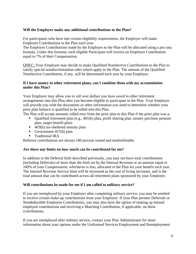#### **Will the Employer make any additional contributions to the Plan?**

For participants who have met certain eligibility requirements, the Employer will make Employer Contributions to the Plan each year.

The Employer Contributions made by the Employer to the Plan will be allocated using a pro rata formula. Under this formula, each eligible Participant will receive an Employer Contribution equal to 7% of their Compensation.

QNEC; Your Employer may decide to make Qualified Nonelective Contributions to the Plan to satisfy special nondiscrimination rules which apply to the Plan. The amount of the Qualified Nonelective Contribution, if any, will be determined each year by your Employer.

#### **If I have money in other retirement plans, can I combine them with my accumulation under this Plan?**

Your Employer may allow you to roll over dollars you have saved in other retirement arrangements into this Plan after you become eligible to participate in the Plan. Your Employer will provide you with the documents or other information you need to determine whether your prior plan balance is qualified to be rolled into this Plan.

The Plan will accept amounts rolled over from the prior plan to this Plan if the prior plan was a:

- Qualified retirement plan (e.g.,  $401(k)$  plan, profit sharing plan, money purchase pension plan, target benefit plan)
- 403(b) tax-sheltered annuity plan
- Government  $457(b)$  plan
- **Traditional IRA**

Rollover contributions are always 100 percent vested and nonforfeitable.

#### **Are there any limits on how much can be contributed for me?**

In addition to the Deferral limit described previously, you may not have total contributions (including Deferrals) of more than the limit set by the Internal Revenue or an amount equal to 100% of your Compensation, whichever is less, allocated to the Plan for your benefit each year. The Internal Revenue Service limit will be increased as the cost of living increases, and is the total amount that can be contributed across all retirement plans sponsored by your Employer.

#### **Will contributions be made for me if I am called to military service?**

If you are reemployed by your Employer after completing military service, you may be entitled to receive certain make-up contributions from your Employer. If your Plan permits Deferrals or Nondeductible Employee Contributions, you may also have the option of making up missed employee contributions and receiving a Matching Contribution, if applicable, on these contributions.

If you are reemployed after military service, contact your Plan Administrator for more information about your options under the Uniformed Services Employment and Reemployment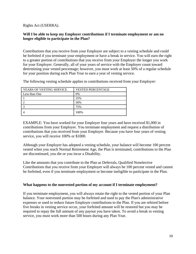Rights Act (USERRA).

#### **Will I be able to keep my Employer contributions if I terminate employment or am no longer eligible to participate in the Plan?**

Contributions that you receive from your Employer are subject to a vesting schedule and could be forfeited if you terminate your employment or have a break in service. You will earn the right to a greater portion of contributions that you receive from your Employer the longer you work for your Employer. Generally, all of your years of service with the Employer count toward determining your vested percentage; however, you must work at least 50% of a regular schedule for your position during each Plan Year to earn a year of vesting service.

The following vesting schedule applies to contributions received from your Employer:

| YEARS OF VESTING SERVICE | <b>VESTED PERCENTAGE</b> |
|--------------------------|--------------------------|
| Less than One            | 0%                       |
|                          | 25%                      |
|                          | 50%                      |
|                          | 75%                      |
|                          | 100%                     |

EXAMPLE: You have worked for your Employer four years and have received \$1,000 in contributions from your Employer. You terminate employment and request a distribution of contributions that you received from your Employer. Because you have four years of vesting service, you will receive 100% or \$1000.

Although your Employer has adopted a vesting schedule, your balance will become 100 percent vested when you reach Normal Retirement Age, the Plan is terminated, contributions to the Plan are discontinued, you die or you incur a Disability.

Like the amounts that you contribute to the Plan as Deferrals, Qualified Nonelective Contributions that you receive from your Employer will always be 100 percent vested and cannot be forfeited, even if you terminate employment or become ineligible to participate in the Plan.

#### **What happens to the nonvested portion of my account if I terminate employment?**

If you terminate employment, you will always retain the right to the vested portion of your Plan balance. Your nonvested portion may be forfeited and used to pay the Plan's administrative expenses or used to reduce future Employer contributions to the Plan. If you are rehired before five breaks in vesting service occur, your forfeited amount will be restored but you may be required to repay the full amount of any payout you have taken. To avoid a break in vesting service, you must work more than 500 hours during any Plan Year.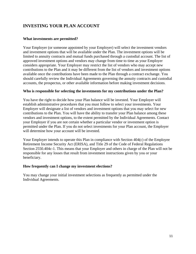## **INVESTING YOUR PLAN ACCOUNT**

#### **What investments are permitted?**

Your Employer (or someone appointed by your Employer) will select the investment vendors and investment options that will be available under the Plan. The investment options will be limited to annuity contracts and mutual funds purchased through a custodial account. The list of approved investment options and vendors may change from time to time as your Employer considers appropriate. Your Employer may restrict the list of vendors who may accept new contributions to the Plan and it may be different from the list of vendors and investment options available once the contributions have been made to the Plan through a contract exchange. You should carefully review the Individual Agreements governing the annuity contracts and custodial accounts, the prospectus, or other available information before making investment decisions.

#### **Who is responsible for selecting the investments for my contributions under the Plan?**

You have the right to decide how your Plan balance will be invested. Your Employer will establish administrative procedures that you must follow to select your investments. Your Employer will designate a list of vendors and investment options that you may select for new contributions to the Plan. You will have the ability to transfer your Plan balance among these vendors and investment options, to the extent permitted by the Individual Agreements. Contact your Employer if you are not certain whether a particular vendor or investment option is permitted under the Plan. If you do not select investments for your Plan account, the Employer will determine how your account will be invested.

Your Employer intends to operate this Plan in compliance with Section 404(c) of the Employee Retirement Income Security Act (ERISA), and Title 29 of the Code of Federal Regulations Section 2550.404c-1. This means that your Employer and others in charge of the Plan will not be responsible for any losses that result from investment instructions given by you or your beneficiary.

#### **How frequently can I change my investment elections?**

You may change your initial investment selections as frequently as permitted under the Individual Agreements.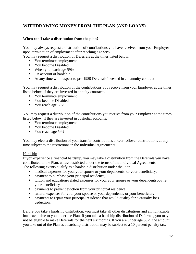## **WITHDRAWING MONEY FROM THE PLAN (AND LOANS)**

#### **When can I take a distribution from the plan?**

You may always request a distribution of contributions you have received from your Employer upon termination of employment after reaching age 59½.

You may request a distribution of Deferrals at the times listed below.

- You terminate employment
- Vou become Disabled
- When you reach age  $59\frac{1}{2}$
- On account of hardship
- At any time with respect to pre-1989 Deferrals invested in an annuity contract

You may request a distribution of the contributions you receive from your Employer at the times listed below, if they are invested in annuity contracts.

- Vou terminate employment
- You become Disabled
- You reach age  $59\frac{1}{2}$

You may request a distribution of the contributions you receive from your Employer at the times listed below, if they are invested in custodial accounts.

- Vou terminate employment
- You become Disabled
- You reach age  $59\frac{1}{2}$

You may elect a distribution of your transfer contributions and/or rollover contributions at any time subject to the restrictions in the Individual Agreements.

#### Hardship

If you experience a financial hardship, you may take a distribution from the Deferrals **you** have contributed to the Plan, unless restricted under the terms of the Individual Agreements.

The following events qualify as a hardship distribution under the Plan:

- medical expenses for you, your spouse or your dependents, or your beneficiary,
- **payment to purchase your principal residence,**
- tuition and education-related expenses for you, your spouse or your dependentsyou're your beneficiary
- payments to prevent eviction from your principal residence,
- funeral expenses for you, your spouse or your dependents, or your beneficiary,
- **•** payments to repair your principal residence that would qualify for a casualty loss deduction.

Before you take a hardship distribution, you must take all other distributions and all nontaxable loans available to you under the Plan. If you take a hardship distribution of Deferrals, you may not be eligible to make Deferrals for the next six months. If you are under age 59½, the amount you take out of the Plan as a hardship distribution may be subject to a 10 percent penalty tax.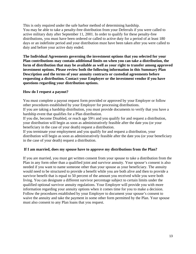This is only required under the safe harbor method of determining hardship. You may be able to take a penalty-free distribution from your Deferrals if you were called to active military duty after September 11, 2001. In order to qualify for these penalty-free distributions, you must have been ordered or called to active duty for a period of at least 180 days or an indefinite period and your distribution must have been taken after you were called to duty and before your active duty ended.

**The Individual Agreements governing the investment options that you selected for your Plan contributions may contain additional limits on when you can take a distribution, the form of distribution that may be available as well as your right to transfer among approved investment options. Please review both the following information in this Summary Plan Description and the terms of your annuity contracts or custodial agreements before requesting a distribution. Contact your Employer or the investment vendor if you have questions regarding your distribution options.** 

#### **How do I request a payout?**

You must complete a payout request form provided or approved by your Employer or follow other procedures established by your Employer for processing distributions.

If you are taking a hardship distribution, you must provide documents to verify that you have a hardship event that qualifies for a Plan distribution.

If you die, become Disabled, or reach age 59½ and you qualify for and request a distribution, your distribution will begin as soon as administratively feasible after the date you (or your beneficiary in the case of your death) request a distribution.

If you terminate your employment and you qualify for and request a distribution, your distribution will begin as soon as administratively feasible after the date you (or your beneficiary in the case of your death) request a distribution.

#### **If I am married, does my spouse have to approve my distributions from the Plan?**

If you are married, you must get written consent from your spouse to take a distribution from the Plan in any form other than a qualified joint and survivor annuity. Your spouse's consent is also needed if you want to name someone other than your spouse as your beneficiary. The annuity would need to be structured to provide a benefit while you are both alive and then to provide a survivor benefit that is equal to 50 percent of the amount you received while you were both living. You can designate a different survivor percentage subject to certain limits under the qualified optional survivor annuity regulations. Your Employer will provide you with more information regarding your annuity options when it comes time for you to make a decision. Follow the procedures established by your Employer to document your spouse's consent to waive the annuity and take the payment in some other form permitted by the Plan. Your spouse must also consent to any Plan loans that you request.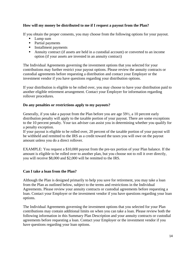#### **How will my money be distributed to me if I request a payout from the Plan?**

If you obtain the proper consents, you may choose from the following options for your payout.

- Ump sum
- Partial payments
- **Installment payments**
- Annuity contract (if assets are held in a custodial account) or converted to an income option (if your assets are invested in an annuity contract)

The Individual Agreements governing the investment options that you selected for your contributions may further restrict your payout options. Please review the annuity contracts or custodial agreements before requesting a distribution and contact your Employer or the investment vendor if you have questions regarding your distribution options.

If your distribution is eligible to be rolled over, you may choose to have your distribution paid to another eligible retirement arrangement. Contact your Employer for information regarding rollover procedures.

#### **Do any penalties or restrictions apply to my payouts?**

Generally, if you take a payout from the Plan before you are age 59½, a 10 percent early distribution penalty will apply to the taxable portion of your payout. There are some exceptions to the 10 percent penalty. Your tax adviser can assist you in determining whether you qualify for a penalty exception.

If your payout is eligible to be rolled over, 20 percent of the taxable portion of your payout will be withheld and remitted to the IRS as a credit toward the taxes you will owe on the payout amount unless you do a direct rollover.

EXAMPLE: You request a \$10,000 payout from the pre-tax portion of your Plan balance. If the amount is eligible to be rolled over to another plan, but you choose not to roll it over directly, you will receive \$8,000 and \$2,000 will be remitted to the IRS.

#### **Can I take a loan from the Plan?**

Although the Plan is designed primarily to help you save for retirement, you may take a loan from the Plan as outlined below, subject to the terms and restrictions in the Individual Agreements. Please review your annuity contracts or custodial agreements before requesting a loan. Contact your Employer or the investment vendor if you have questions regarding your loan options.

The Individual Agreements governing the investment options that you selected for your Plan contributions may contain additional limits on when you can take a loan. Please review both the following information in this Summary Plan Description and your annuity contracts or custodial agreements before requesting a loan. Contact your Employer or the investment vendor if you have questions regarding your loan options.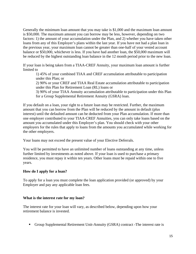Generally the minimum loan amount that you may take is \$1,000 and the maximum loan amount is \$50,000. The maximum amount you can borrow may be less, however, depending on two factors: 1) the amount of your accumulation under the Plan, and 2) whether you have taken other loans from any of this Employer's plans within the last year. If you have not had a plan loan in the previous year, your maximum loan cannot be greater than one-half of your vested account balance or \$50,000, whichever is less. If you have had another loan, the \$50,000 maximum will be reduced by the highest outstanding loan balance in the 12 month period prior to the new loan.

If your loan is being taken from a TIAA-CREF Annuity, your maximum loan amount is further limited to

1) 45% of your combined TIAA and CREF accumulation attributable to participation under this Plan; or

2) 90% or your CREF and TIAA Real Estate accumulation attributable to participation under this Plan for Retirement Loan (RL) loans or

3) 90% of your TIAA Annuity accumulation attributable to participation under this Plan for a Group Supplemental Retirement Annuity (GSRA) loan.

If you default on a loan, your right to a future loan may be restricted. Further, the maximum amount that you can borrow from the Plan will be reduced by the amount in default (plus interest) until the defaulted amount can be deducted from your Plan accumulation. If more than one employer contributed to your TIAA-CREF Annuities, you can only take loans based on the amount you accumulated under this Employer's plan. You should check with your other employers for the rules that apply to loans from the amounts you accumulated while working for the other employers.

Your loans may not exceed the present value of your Elective Deferrals.

You will be permitted to have an unlimited number of loans outstanding at any time, unless further limited by investments as noted above. If your loan is used to purchase a primary residence, you must repay it within ten years. Other loans must be repaid within one to five years.

#### **How do I apply for a loan?**

To apply for a loan you must complete the loan application provided (or approved) by your Employer and pay any applicable loan fees.

#### **What is the interest rate for my loan?**

The interest rate for your loan will vary, as described below, depending upon how your retirement balance is invested.

Group Supplemental Retirement Unit-Annuity (GSRA) contract -The interest rate is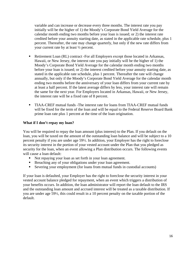variable and can increase or decrease every three months. The interest rate you pay initially will be the higher of 1) the Moody's Corporate Bond Yield Average for the calendar month ending two months before your loan is issued; or 2) the interest rate credited before your annuity starting date, as stated in the applicable rate schedule, plus 1 percent. Thereafter, the rate may change quarterly, but only if the new rate differs from your current rate by at least ½ percent.

- Retirement Loan (RL) contract -For all Employers except those located in Arkansas, Hawaii, or New Jersey, the interest rate you pay initially will be the higher of 1) the Moody's Corporate Bond Yield Average for the calendar month ending two months before your loan is issued; or 2) the interest credited before your annuity starting date, as stated in the applicable rate schedule, plus 1 percent. Thereafter the rate will change annually, but only if the Moody's Corporate Bond Yield Average for the calendar month ending two months before the anniversary of your loan differs from your current rate by at least a half percent. If the latest average differs by less, your interest rate will remain the same for the next year. For Employers located in Arkansas, Hawaii, or New Jersey, the interest rate will be a fixed rate of 8 percent.
- TIAA-CREF mutual funds -The interest rate for loans from TIAA-CREF mutual funds will be fixed for the term of the loan and will be equal to the Federal Reserve Board Bank prime loan rate plus 1 percent at the time of the loan origination.

#### **What if I don't repay my loan?**

You will be required to repay the loan amount (plus interest) to the Plan. If you default on the loan, you will be taxed on the amount of the outstanding loan balance and will be subject to a 10 percent penalty if you are under age 59½. In addition, your Employer has the right to foreclose its security interest in the portion of your vested account under the Plan that you pledged as security for the loan, when an event allowing a Plan distribution occurs. The following events will cause a loan default:

- Not repaying your loan as set forth in your loan agreement.
- Breaching any of your obligations under your loan agreement.
- Severing your employment (for loans from mutual funds in custodial accounts)

If your loan is defaulted, your Employer has the right to foreclose the security interest in your vested account balance pledged for repayment, when an event which triggers a distribution of your benefits occurs. In addition, the loan administrator will report the loan default to the IRS and the outstanding loan amount and accrued interest will be treated as a taxable distribution. If you are under age 59½, this could result in a 10 percent penalty on the taxable portion of the default.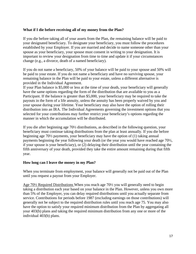#### **What if I die before receiving all of my money from the Plan?**

If you die before taking all of your assets from the Plan, the remaining balance will be paid to your designated beneficiary. To designate your beneficiary, you must follow the procedures established by your Employer. If you are married and decide to name someone other than your spouse as your beneficiary, your spouse must consent in writing to your designation. It is important to review your designation from time to time and update it if your circumstances change (e.g., a divorce, death of a named beneficiary).

If you do not name a beneficiary, 50% of your balance will be paid to your spouse and 50% will be paid to your estate. If you do not name a beneficiary and have no surviving spouse, your remaining balance in the Plan will be paid to your estate, unless a different alternative is provided in the Individual Agreement.

If your Plan balance is \$5,000 or less at the time of your death, your beneficiary will generally have the same options regarding the form of the distribution that are available to you as a Participant. If the balance is greater than \$5,000, your beneficiary may be required to take the payouts in the form of a life annuity, unless the annuity has been properly waived by you and your spouse during your lifetime. Your beneficiary may also have the option of rolling their distribution into an IRA. The Individual Agreements governing the investment options that you selected for your contributions may further restrict your beneficiary's options regarding the manner in which the accumulation will be distributed.

If you die after beginning age 70½ distributions, as described in the following question, your beneficiary must continue taking distributions from the plan at least annually. If you die before beginning age 70½ payments, your beneficiary may have the option of (1) taking annual payments beginning the year following your death (or the year you would have reached age 70½, if your spouse is your beneficiary), or (2) delaying their distribution until the year containing the fifth anniversary of your death, provided they take the entire amount remaining during that fifth year.

#### **How long can I leave the money in my Plan?**

When you terminate from employment, your balance will generally not be paid out of the Plan until you request a payout from your Employer.

Age 70½ Required Distributions When you reach age 70½ you will generally need to begin taking a distribution each year based on your balance in the Plan. However, unless you own more than 5% of the Employer, you can delay required distributions until you actually separate from service. Contributions for periods before 1987 (excluding earnings on those contributions) will generally not be subject to the required distribution rules until you reach age 75. You may also have the option to satisfy your required minimum distribution from the Plan by aggregating all your 403(b) plans and taking the required minimum distribution from any one or more of the individual 403(b) plans.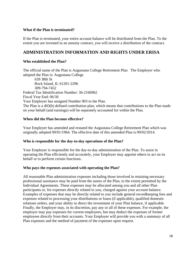#### **What if the Plan is terminated?**

If the Plan is terminated, your entire account balance will be distributed from the Plan. To the extent you are invested in an annuity contract, you will receive a distribution of the contract.

#### **ADMINISTRATION INFORMATION AND RIGHTS UNDER ERISA**

#### **Who established the Plan?**

The official name of the Plan is Augustana College Retirement Plan The Employer who adopted the Plan is: Augustana College

639 38th St Rock Island, IL 61201-2296 309-794-7452 Federal Tax Identification Number: 36-2166962 Fiscal Year End: 06/30 Your Employer has assigned Number 003 to the Plan. The Plan is a 403(b) defined contribution plan, which means that contributions to the Plan made on your behalf (and earnings) will be separately accounted for within the Plan.

#### **When did the Plan become effective?**

Your Employer has amended and restated the Augustana College Retirement Plan which was originally adopted 09/01/1964. The effective date of this amended Plan is 09/02/2014.

#### **Who is responsible for the day-to-day operations of the Plan?**

Your Employer is responsible for the day-to-day administration of the Plan. To assist in operating the Plan efficiently and accurately, your Employer may appoint others to act on its behalf or to perform certain functions.

#### **Who pays the expenses associated with operating the Plan?**

All reasonable Plan administration expenses including those involved in retaining necessary professional assistance may be paid from the assets of the Plan, to the extent permitted by the Individual Agreements. These expenses may be allocated among you and all other Plan participants or, for expenses directly related to you, charged against your account balance. Examples of expenses that may be directly related to you include general recordkeeping fees and expenses related to processing your distributions or loans (if applicable), qualified domestic relations orders, and your ability to direct the investment of your Plan balance, if applicable. Finally, the Employer may, in its discretion, pay any or all of these expenses. For example, the employer may pay expenses for current employees, but may deduct the expenses of former employees directly from their accounts. Your Employer will provide you with a summary of all Plan expenses and the method of payment of the expenses upon request.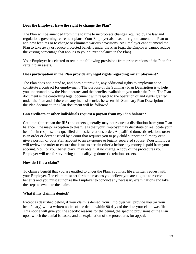#### **Does the Employer have the right to change the Plan?**

The Plan will be amended from time to time to incorporate changes required by the law and regulations governing retirement plans. Your Employer also has the right to amend the Plan to add new features or to change or eliminate various provisions. An Employer cannot amend the Plan to take away or reduce protected benefits under the Plan (e.g., the Employer cannot reduce the vesting percentage that applies to your current balance in the Plan).

Your Employer has elected to retain the following provisions from prior versions of the Plan for certain plan assets.

#### **Does participation in the Plan provide any legal rights regarding my employment?**

The Plan does not intend to, and does not provide, any additional rights to employment or constitute a contract for employment. The purpose of the Summary Plan Description is to help you understand how the Plan operates and the benefits available to you under the Plan. The Plan document is the controlling legal document with respect to the operation of and rights granted under the Plan and if there are any inconsistencies between this Summary Plan Description and the Plan document, the Plan document will be followed.

#### **Can creditors or other individuals request a payout from my Plan balance?**

Creditors (other than the IRS) and others generally may not request a distribution from your Plan balance. One major exception to this rule is that your Employer may distribute or reallocate your benefits in response to a qualified domestic relations order. A qualified domestic relations order is an order or decree issued by a court that requires you to pay child support or alimony or to give a portion of your Plan account to an ex-spouse or legally separated spouse. Your Employer will review the order to ensure that it meets certain criteria before any money is paid from your account. You (or your beneficiary) may obtain, at no charge, a copy of the procedures your Employer will use for reviewing and qualifying domestic relations orders.

#### **How do I file a claim?**

To claim a benefit that you are entitled to under the Plan, you must file a written request with your Employer. The claim must set forth the reasons you believe you are eligible to receive benefits and you must authorize the Employer to conduct any necessary examinations and take the steps to evaluate the claim.

#### **What if my claim is denied?**

Except as described below, if your claim is denied, your Employer will provide you (or your beneficiary) with a written notice of the denial within 90 days of the date your claim was filed. This notice will give you the specific reasons for the denial, the specific provisions of the Plan upon which the denial is based, and an explanation of the procedures for appeal.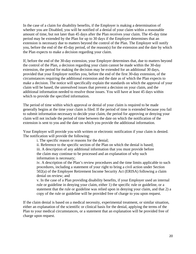In the case of a claim for disability benefits, if the Employer is making a determination of whether you are Disabled, you will be notified of a denial of your claim within a reasonable amount of time, but not later than 45 days after the Plan receives your claim. The 45-day time period may be extended by the Plan for up to 30 days if the Employer determines that an extension is necessary due to matters beyond the control of the Plan. The Employer will notify you, before the end of the 45-day period, of the reason(s) for the extension and the date by which the Plan expects to make a decision regarding your claim.

If, before the end of the 30-day extension, your Employer determines that, due to matters beyond the control of the Plan, a decision regarding your claim cannot be made within the 30-day extension, the period for making the decision may be extended for an additional 30 days, provided that your Employer notifies you, before the end of the first 30-day extension, of the circumstances requiring the additional extension and the date as of which the Plan expects to make a decision. The notice will specifically explain the standards on which the approval of your claim will be based, the unresolved issues that prevent a decision on your claim, and the additional information needed to resolve those issues. You will have at least 45 days within which to provide the specified information.

The period of time within which approval or denial of your claim is required to be made generally begins at the time your claim is filed. If the period of time is extended because you fail to submit information necessary to decide your claim, the period for approving or denying your claim will not include the period of time between the date on which the notification of the extension is sent to you and the date on which you provide the additional information.

Your Employer will provide you with written or electronic notification if your claim is denied. The notification will provide the following:

i. The specific reason or reasons for the denial;

ii. Reference to the specific section of the Plan on which the denial is based;

iii. A description of any additional information that you must provide before the claim may continue to be processed and an explanation of why such information is necessary;

iv. A description of the Plan's review procedures and the time limits applicable to such procedures, including a statement of your right to bring a civil action under Section 502(a) of the Employee Retirement Income Security Act (ERISA) following a claim denial on review; and

v. In the case of a Plan providing disability benefits, if your Employer used an internal rule or guideline in denying your claim, either 1) the specific rule or guideline, or a statement that the rule or guideline was relied upon in denying your claim, and that 2) a copy of the rule or guideline will be provided free of charge to you upon request.

If the claim denial is based on a medical necessity, experimental treatment, or similar situation, either an explanation of the scientific or clinical basis for the denial, applying the terms of the Plan to your medical circumstances, or a statement that an explanation will be provided free of charge upon request.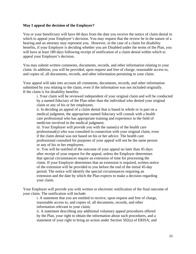#### **May I appeal the decision of the Employer?**

You or your beneficiary will have 60 days from the date you receive the notice of claim denial in which to appeal your Employer's decision. You may request that the review be in the nature of a hearing and an attorney may represent you. However, in the case of a claim for disability benefits, if your Employer is deciding whether you are Disabled under the terms of the Plan, you will have at least 180 days following receipt of notification of a claim denial within which to appeal your Employer's decision.

You may submit written comments, documents, records, and other information relating to your claim. In addition, you will be provided, upon request and free of charge, reasonable access to, and copies of, all documents, records, and other information pertaining to your claim.

Your appeal will take into account all comments, documents, records, and other information submitted by you relating to the claim, even if the information was not included originally. If the claim is for disability benefits:

i. Your claim will be reviewed independent of your original claim and will be conducted by a named fiduciary of the Plan other than the individual who denied your original claim or any of his or her employees.

ii. In deciding an appeal of a claim denial that is based in whole or in part on a medical judgment, the appropriate named fiduciary will consult with a health care professional who has appropriate training and experience in the field of medicine involved in the medical judgment;

iii. Your Employer will provide you with the name(s) of the health care professional(s) who was consulted in connection with your original claim, even if the claim denial was not based on his or her advice. The health care professional consulted for purposes of your appeal will not be the same person or any of his or her employees.

iv. You will be notified of the outcome of your appeal no later than 45 days after receipt of your request for the appeal, unless the Employer determines that special circumstances require an extension of time for processing the claim. If your Employer determines that an extension is required, written notice of the extension will be provided to you before the end of the initial 45-day period. The notice will identify the special circumstances requiring an extension and the date by which the Plan expects to make a decision regarding your claim.

Your Employer will provide you with written or electronic notification of the final outcome of your claim. The notification will include:

i. A statement that you are entitled to receive, upon request and free of charge, reasonable access to, and copies of, all documents, records, and other information relevant to your claim;

ii. A statement describing any additional voluntary appeal procedures offered by the Plan, your right to obtain the information about such procedures, and a statement of your right to bring an action under Section 502(a) of ERISA; and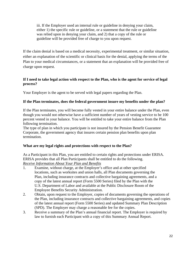iii. If the Employer used an internal rule or guideline in denying your claim, either 1) the specific rule or guideline, or a statement that the rule or guideline was relied upon in denying your claim, and 2) that a copy of the rule or guideline will be provided free of charge to you upon request.

If the claim denial is based on a medical necessity, experimental treatment, or similar situation, either an explanation of the scientific or clinical basis for the denial, applying the terms of the Plan to your medical circumstances, or a statement that an explanation will be provided free of charge upon request.

#### **If I need to take legal action with respect to the Plan, who is the agent for service of legal process?**

Your Employer is the agent to be served with legal papers regarding the Plan.

#### **If the Plan terminates, does the federal government insure my benefits under the plan?**

If the Plan terminates, you will become fully vested in your entire balance under the Plan, even though you would not otherwise have a sufficient number of years of vesting service to be 100 percent vested in your balance. You will be entitled to take your entire balance from the Plan following termination.

The type of plan in which you participate is not insured by the Pension Benefit Guarantee Corporate, the government agency that insures certain pension plan benefits upon plan termination.

#### **What are my legal rights and protections with respect to the Plan?**

As a Participant in this Plan, you are entitled to certain rights and protections under ERISA. ERISA provides that all Plan Participants shall be entitled to do the following. *Receive Information About Your Plan and Benefits* 

- 1. Examine, without charge, at the Employer's office and at other specified locations, such as worksites and union halls, all Plan documents governing the Plan, including insurance contracts and collective bargaining agreements, and a copy of the latest annual report (Form 5500 Series) filed by the Plan with the U.S. Department of Labor and available at the Public Disclosure Room of the Employee Benefits Security Administration.
- 2. Obtain, upon request to the Employer, copies of documents governing the operations of the Plan, including insurance contracts and collective bargaining agreements, and copies of the latest annual report (Form 5500 Series) and updated Summary Plan Description (SPD). The Employer may charge a reasonable fee for the copies.
- 3. Receive a summary of the Plan's annual financial report. The Employer is required by law to furnish each Participant with a copy of this Summary Annual Report.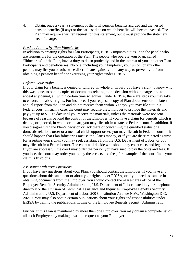4. Obtain, once a year, a statement of the total pension benefits accrued and the vested pension benefits (if any) or the earliest date on which benefits will become vested. The Plan may require a written request for this statement, but it must provide the statement free of charge.

#### *Prudent Actions by Plan Fiduciaries*

In addition to creating rights for Plan Participants, ERISA imposes duties upon the people who are responsible for the operation of the Plan. The people who operate your Plan, called "fiduciaries" of the Plan, have a duty to do so prudently and in the interest of you and other Plan Participants and beneficiaries. No one, including your Employer, your union, or any other person, may fire you or otherwise discriminate against you in any way to prevent you from obtaining a pension benefit or exercising your rights under ERISA.

#### *Enforce Your Rights*

If your claim for a benefit is denied or ignored, in whole or in part, you have a right to know why this was done, to obtain copies of documents relating to the decision without charge, and to appeal any denial, all within certain time schedules. Under ERISA, there are steps you may take to enforce the above rights. For instance, if you request a copy of Plan documents or the latest annual report from the Plan and do not receive them within 30 days, you may file suit in a Federal court. In such a case, the court may require the Employer to provide the materials and pay you up to \$110 a day until you receive the materials, unless the materials were not sent because of reasons beyond the control of the Employer. If you have a claim for benefits which is denied, or ignored, in whole or in part, you may file suit in a state or Federal court. In addition, if you disagree with the Plan's decision or lack there of concerning the qualified status of a domestic relations order or a medical child support order, you may file suit in Federal court. If it should happen that Plan fiduciaries misuse the Plan's money, or if you are discriminated against for asserting your rights, you may seek assistance from the U.S. Department of Labor, or you may file suit in a Federal court. The court will decide who should pay court costs and legal fees. If you are successful, the court may order the person you have sued to pay the costs and fees. If you lose, the court may order you to pay these costs and fees, for example, if the court finds your claim is frivolous.

#### *Assistance with Your Questions*

If you have any questions about your Plan, you should contact the Employer. If you have any questions about this statement or about your rights under ERISA, or if you need assistance in obtaining documents from the Employer, you should contact the nearest area office of the Employee Benefits Security Administration, U.S. Department of Labor, listed in your telephone directory or the Division of Technical Assistance and Inquiries, Employee Benefits Security Administration, U.S. Department of Labor, 200 Constitution Avenue N.W., Washington D.C. 20210. You may also obtain certain publications about your rights and responsibilities under ERISA by calling the publications hotline of the Employee Benefits Security Administration.

Further, if this Plan is maintained by more than one Employer, you may obtain a complete list of all such Employers by making a written request to your Employer.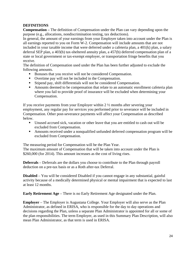#### **DEFINITIONS**

**Compensation –** The definition of Compensation under the Plan can vary depending upon the purpose (e.g., allocations, nondiscrimination testing, tax deductions).

In general, the amount of your earnings from your Employer taken into account under the Plan is all earnings reported to you on Form W-2. Compensation will include amounts that are not included in your taxable income that were deferred under a cafeteria plan, a 401(k) plan, a salary deferral SEP plan, a 403(b) tax-sheltered annuity plan, a 457(b) deferred compensation plan of a state or local government or tax-exempt employer, or transportation fringe benefits that you receive.

The definition of Compensation used under the Plan has been further adjusted to exclude the following amounts.

- Bonuses that you receive will not be considered Compensation.
- Overtime pay will not be included in the Compensation.
- Stipend pay, shift differentials will not be considered Compensation.
- Amounts deemed to be compensation that relate to an automatic enrollment cafeteria plan where you fail to provide proof of insurance will be excluded when determining your Compensation.

If you receive payments from your Employer within 2 ½ months after severing your employment, any regular pay for services you performed prior to severance will be included in Compensation. Other post-severance payments will affect your Compensation as described below.

- Unused accrued sick, vacation or other leave that you are entitled to cash out will be excluded from Compensation.
- Amounts received under a nonqualified unfunded deferred compensation program will be excluded from Compensation.

The measuring period for Compensation will be the Plan Year.

The maximum amount of Compensation that will be taken into account under the Plan is \$260,000 (for 2014). This amount increases as the cost of living rises.

**Deferrals** – Deferrals are the dollars you choose to contribute to the Plan through payroll deduction on a pre-tax basis or as a Roth after-tax Deferral.

**Disabled** – You will be considered Disabled if you cannot engage in any substantial, gainful activity because of a medically determined physical or mental impairment that is expected to last at least 12 months.

**Early Retirement Age** – There is no Early Retirement Age designated under the Plan.

**Employer** – The Employer is Augustana College. Your Employer will also serve as the Plan Administrator, as defined in ERISA, who is responsible for the day to day operations and decisions regarding the Plan, unless a separate Plan Administrator is appointed for all or some of the plan responsibilities. The term Employer, as used in this Summary Plan Description, will also mean Plan Administrator, as that term is used in ERISA.